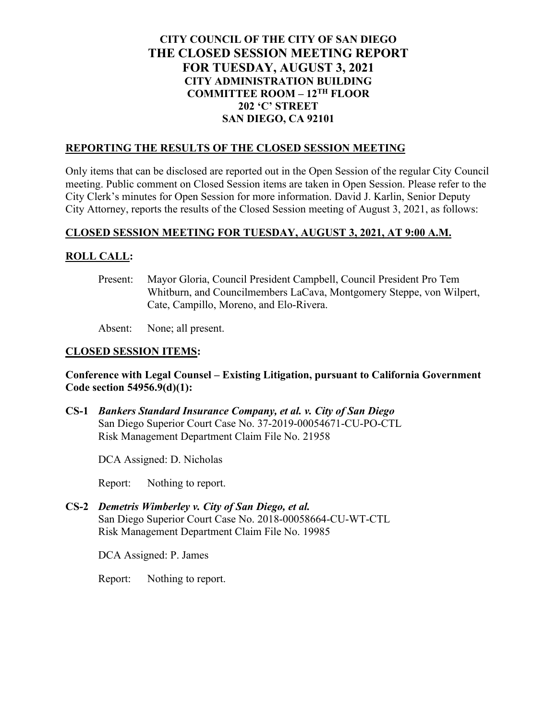# **CITY COUNCIL OF THE CITY OF SAN DIEGO THE CLOSED SESSION MEETING REPORT FOR TUESDAY, AUGUST 3, 2021 CITY ADMINISTRATION BUILDING COMMITTEE ROOM – 12TH FLOOR 202 'C' STREET SAN DIEGO, CA 92101**

#### **REPORTING THE RESULTS OF THE CLOSED SESSION MEETING**

Only items that can be disclosed are reported out in the Open Session of the regular City Council meeting. Public comment on Closed Session items are taken in Open Session. Please refer to the City Clerk's minutes for Open Session for more information. David J. Karlin, Senior Deputy City Attorney, reports the results of the Closed Session meeting of August 3, 2021, as follows:

## **CLOSED SESSION MEETING FOR TUESDAY, AUGUST 3, 2021, AT 9:00 A.M.**

## **ROLL CALL:**

Present: Mayor Gloria, Council President Campbell, Council President Pro Tem Whitburn, and Councilmembers LaCava, Montgomery Steppe, von Wilpert, Cate, Campillo, Moreno, and Elo-Rivera.

Absent: None; all present.

## **CLOSED SESSION ITEMS:**

## **Conference with Legal Counsel – Existing Litigation, pursuant to California Government Code section 54956.9(d)(1):**

**CS-1** *Bankers Standard Insurance Company, et al. v. City of San Diego* San Diego Superior Court Case No. 37-2019-00054671-CU-PO-CTL Risk Management Department Claim File No. 21958

DCA Assigned: D. Nicholas

Report: Nothing to report.

**CS-2** *Demetris Wimberley v. City of San Diego, et al.* San Diego Superior Court Case No. 2018-00058664-CU-WT-CTL Risk Management Department Claim File No. 19985

DCA Assigned: P. James

Report: Nothing to report.